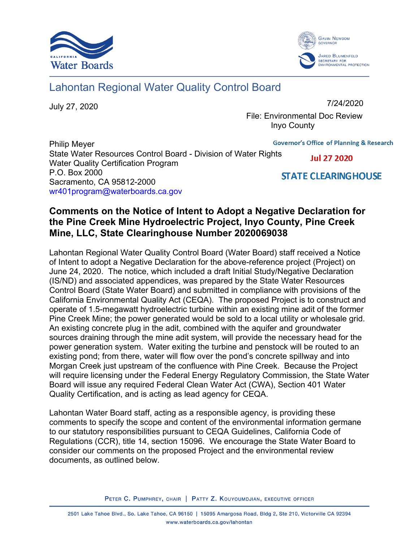



## Lahontan Regional Water Quality Control Board

July 27, 2020

7/24/2020

 File: Environmental Doc Review Inyo County

**Governor's Office of Planning & Research** Philip Meyer State Water Resources Control Board - Division of Water Rights **Jul 27 2020** Water Quality Certification Program P.O. Box 2000 **STATE CLEARING HOUSE** Sacramento, CA 95812-2000 [wr401program@waterboards.ca.gov](mailto:wr401program@waterboards.ca.gov) 

## **Comments on the Notice of Intent to Adopt a Negative Declaration for the Pine Creek Mine Hydroelectric Project, Inyo County, Pine Creek Mine, LLC, State Clearinghouse Number 2020069038**

Lahontan Regional Water Quality Control Board (Water Board) staff received a Notice of Intent to adopt a Negative Declaration for the above-reference project (Project) on June 24, 2020. The notice, which included a draft Initial Study/Negative Declaration (IS/ND) and associated appendices, was prepared by the State Water Resources Control Board (State Water Board) and submitted in compliance with provisions of the California Environmental Quality Act (CEQA). The proposed Project is to construct and operate of 1.5-megawatt hydroelectric turbine within an existing mine adit of the former Pine Creek Mine; the power generated would be sold to a local utility or wholesale grid. An existing concrete plug in the adit, combined with the aquifer and groundwater sources draining through the mine adit system, will provide the necessary head for the power generation system. Water exiting the turbine and penstock will be routed to an existing pond; from there, water will flow over the pond's concrete spillway and into Morgan Creek just upstream of the confluence with Pine Creek. Because the Project will require licensing under the Federal Energy Regulatory Commission, the State Water Board will issue any required Federal Clean Water Act (CWA), Section 401 Water Quality Certification, and is acting as lead agency for CEQA.

Lahontan Water Board staff, acting as a responsible agency, is providing these comments to specify the scope and content of the environmental information germane to our statutory responsibilities pursuant to CEQA Guidelines, California Code of Regulations (CCR), title 14, section 15096. We encourage the State Water Board to consider our comments on the proposed Project and the environmental review documents, as outlined below.

PETER C. PUMPHREY, CHAIR | PATTY Z. KOUYOUMDJIAN, EXECUTIVE OFFICER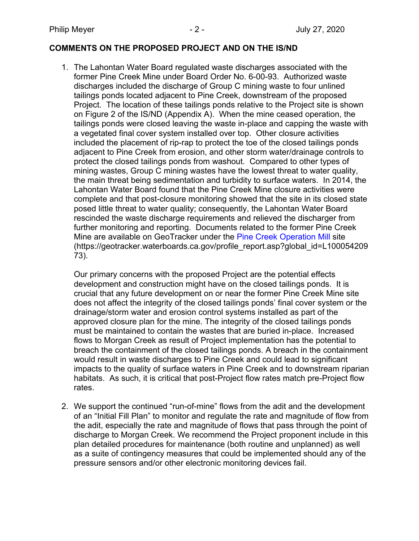## **COMMENTS ON THE PROPOSED PROJECT AND ON THE IS/ND**

1. The Lahontan Water Board regulated waste discharges associated with the former Pine Creek Mine under Board Order No. 6-00-93. Authorized waste discharges included the discharge of Group C mining waste to four unlined tailings ponds located adjacent to Pine Creek, downstream of the proposed Project. The location of these tailings ponds relative to the Project site is shown on Figure 2 of the IS/ND (Appendix A). When the mine ceased operation, the tailings ponds were closed leaving the waste in-place and capping the waste with a vegetated final cover system installed over top. Other closure activities included the placement of rip-rap to protect the toe of the closed tailings ponds adjacent to Pine Creek from erosion, and other storm water/drainage controls to protect the closed tailings ponds from washout. Compared to other types of mining wastes, Group C mining wastes have the lowest threat to water quality, the main threat being sedimentation and turbidity to surface waters. In 2014, the Lahontan Water Board found that the Pine Creek Mine closure activities were complete and that post-closure monitoring showed that the site in its closed state posed little threat to water quality; consequently, the Lahontan Water Board rescinded the waste discharge requirements and relieved the discharger from further monitoring and reporting. Documents related to the former Pine Creek Mine are available on GeoTracker under the [Pine Creek Operation Mill](https://geotracker.waterboards.ca.gov/profile_report.asp?global_id=L10005420973) site (https://geotracker.waterboards.ca.gov/profile\_report.asp?global\_id=L100054209 73).

Our primary concerns with the proposed Project are the potential effects development and construction might have on the closed tailings ponds. It is crucial that any future development on or near the former Pine Creek Mine site does not affect the integrity of the closed tailings ponds' final cover system or the drainage/storm water and erosion control systems installed as part of the approved closure plan for the mine. The integrity of the closed tailings ponds must be maintained to contain the wastes that are buried in-place. Increased flows to Morgan Creek as result of Project implementation has the potential to breach the containment of the closed tailings ponds. A breach in the containment would result in waste discharges to Pine Creek and could lead to significant impacts to the quality of surface waters in Pine Creek and to downstream riparian habitats. As such, it is critical that post-Project flow rates match pre-Project flow rates.

2. We support the continued "run-of-mine" flows from the adit and the development of an "Initial Fill Plan" to monitor and regulate the rate and magnitude of flow from the adit, especially the rate and magnitude of flows that pass through the point of discharge to Morgan Creek. We recommend the Project proponent include in this plan detailed procedures for maintenance (both routine and unplanned) as well as a suite of contingency measures that could be implemented should any of the pressure sensors and/or other electronic monitoring devices fail.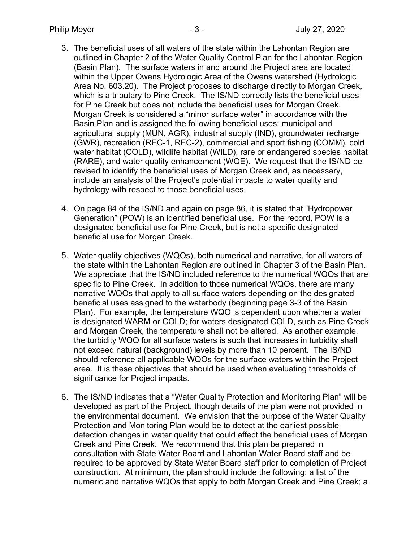- 3. The beneficial uses of all waters of the state within the Lahontan Region are outlined in Chapter 2 of the Water Quality Control Plan for the Lahontan Region (Basin Plan). The surface waters in and around the Project area are located within the Upper Owens Hydrologic Area of the Owens watershed (Hydrologic Area No. 603.20). The Project proposes to discharge directly to Morgan Creek, which is a tributary to Pine Creek. The IS/ND correctly lists the beneficial uses for Pine Creek but does not include the beneficial uses for Morgan Creek. Morgan Creek is considered a "minor surface water" in accordance with the Basin Plan and is assigned the following beneficial uses: municipal and agricultural supply (MUN, AGR), industrial supply (IND), groundwater recharge (GWR), recreation (REC-1, REC-2), commercial and sport fishing (COMM), cold water habitat (COLD), wildlife habitat (WILD), rare or endangered species habitat (RARE), and water quality enhancement (WQE). We request that the IS/ND be revised to identify the beneficial uses of Morgan Creek and, as necessary, include an analysis of the Project's potential impacts to water quality and hydrology with respect to those beneficial uses.
- 4. On page 84 of the IS/ND and again on page 86, it is stated that "Hydropower Generation" (POW) is an identified beneficial use. For the record, POW is a designated beneficial use for Pine Creek, but is not a specific designated beneficial use for Morgan Creek.
- 5. Water quality objectives (WQOs), both numerical and narrative, for all waters of the state within the Lahontan Region are outlined in Chapter 3 of the Basin Plan. We appreciate that the IS/ND included reference to the numerical WQOs that are specific to Pine Creek. In addition to those numerical WQOs, there are many narrative WQOs that apply to all surface waters depending on the designated beneficial uses assigned to the waterbody (beginning page 3-3 of the Basin Plan). For example, the temperature WQO is dependent upon whether a water is designated WARM or COLD; for waters designated COLD, such as Pine Creek and Morgan Creek, the temperature shall not be altered. As another example, the turbidity WQO for all surface waters is such that increases in turbidity shall not exceed natural (background) levels by more than 10 percent. The IS/ND should reference all applicable WQOs for the surface waters within the Project area. It is these objectives that should be used when evaluating thresholds of significance for Project impacts.
- 6. The IS/ND indicates that a "Water Quality Protection and Monitoring Plan" will be developed as part of the Project, though details of the plan were not provided in the environmental document. We envision that the purpose of the Water Quality Protection and Monitoring Plan would be to detect at the earliest possible detection changes in water quality that could affect the beneficial uses of Morgan Creek and Pine Creek. We recommend that this plan be prepared in consultation with State Water Board and Lahontan Water Board staff and be required to be approved by State Water Board staff prior to completion of Project construction. At minimum, the plan should include the following: a list of the numeric and narrative WQOs that apply to both Morgan Creek and Pine Creek; a